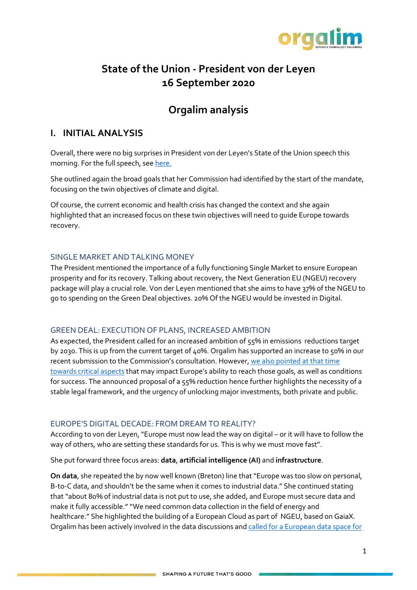

# **State of the Union - President von der Leyen 16 September 2020**

# **Orgalim analysis**

## **I. INITIAL ANALYSIS**

Overall, there were no big surprises in President von der Leyen's State of the Union speech this morning. For the full speech, se[e here.](https://ec.europa.eu/info/sites/info/files/soteu_2020_en.pdf)

She outlined again the broad goals that her Commission had identified by the start of the mandate, focusing on the twin objectives of climate and digital.

Of course, the current economic and health crisis has changed the context and she again highlighted that an increased focus on these twin objectives will need to guide Europe towards recovery.

#### SINGLE MARKET AND TALKING MONEY

The President mentioned the importance of a fully functioning Single Market to ensure European prosperity and for its recovery. Talking about recovery, the Next Generation EU (NGEU) recovery package will play a crucial role. Von der Leyen mentioned that she aims to have 37% of the NGEU to go to spending on the Green Deal objectives. 20% Of the NGEU would be invested in Digital.

#### GREEN DEAL: EXECUTION OF PLANS, INCREASED AMBITION

As expected, the President called for an increased ambition of 55% in emissions reductions target by 2030. This is up from the current target of 40%. Orgalim has supported an increase to 50% in our recent submission to the Commission's consultation. However, [we also pointed at that time](https://www.orgalim.eu/position-papers/energy-climate-orgalim-position-paper-increased-ambition-towards-2030)  [towards critical aspects](https://www.orgalim.eu/position-papers/energy-climate-orgalim-position-paper-increased-ambition-towards-2030) that may impact Europe's ability to reach those goals, as well as conditions for success. The announced proposal of a 55% reduction hence further highlights the necessity of a stable legal framework, and the urgency of unlocking major investments, both private and public.

#### EUROPE'S DIGITAL DECADE: FROM DREAM TO REALITY?

According to von der Leyen, "Europe must now lead the way on digital – or it will have to follow the way of others, who are setting these standards for us. This is why we must move fast".

She put forward three focus areas: **data**, **artificial intelligence (AI)** and **infrastructure**.

**On data**, she repeated the by now well known (Breton) line that "Europe was too slow on personal, B-to-C data, and shouldn't be the same when it comes to industrial data." She continued stating that "about 80% of industrial data is not put to use, she added, and Europe must secure data and make it fully accessible." "We need common data collection in the field of energy and healthcare." She highlighted the building of a European Cloud as part of NGEU, based on GaiaX. Orgalim has been actively involved in the data discussions and [called for a European data space for](https://www.orgalim.eu/position-papers/digital-transformation-orgalim-position-paper-towards-common-european-data-space)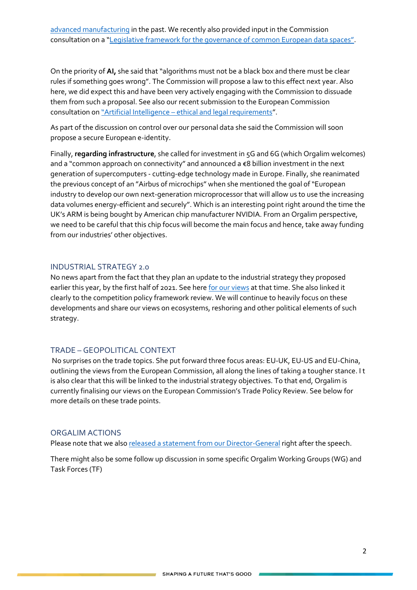On the priority of **AI,** she said that "algorithms must not be a black box and there must be clear rules if something goes wrong". The Commission will propose a law to this effect next year. Also here, we did expect this and have been very actively engaging with the Commission to dissuade them from such a proposal. See also our recent submission to the European Commission consultation on "Artificial Intelligence – [ethical and legal requirements](https://www.orgalim.eu/position-papers/digital-transformation-orgalim-input-european-commission-consultation-artificial)".

As part of the discussion on control over our personal data she said the Commission will soon propose a secure European e-identity.

Finally, **regarding infrastructure**, she called for investment in 5G and 6G (which Orgalim welcomes) and a "common approach on connectivity" and announced a €8 billion investment in the next generation of supercomputers - cutting-edge technology made in Europe. Finally, she reanimated the previous concept of an "Airbus of microchips" when she mentioned the goal of "European industry to develop our own next-generation microprocessor that will allow us to use the increasing data volumes energy-efficient and securely". Which is an interesting point right around the time the UK's ARM is being bought by American chip manufacturer NVIDIA. From an Orgalim perspective, we need to be careful that this chip focus will become the main focus and hence, take away funding from our industries' other objectives.

#### INDUSTRIAL STRATEGY 2.0

No news apart from the fact that they plan an update to the industrial strategy they proposed earlier this year, by the first half of 2021. See her[e for our views](https://www.orgalim.eu/position-papers/eu-industrial-strategy-unlocking-power-industrial-innovation-create-prosperous) at that time. She also linked it clearly to the competition policy framework review. We will continue to heavily focus on these developments and share our views on ecosystems, reshoring and other political elements of such strategy.

#### TRADE – GEOPOLITICAL CONTEXT

No surprises on the trade topics. She put forward three focus areas: EU-UK, EU-US and EU-China, outlining the views from the European Commission, all along the lines of taking a tougher stance. I t is also clear that this will be linked to the industrial strategy objectives. To that end, Orgalim is currently finalising our views on the European Commission's Trade Policy Review. See below for more details on these trade points.

#### ORGALIM ACTIONS

Please note that we also [released a statement from our Director-General](https://www.orgalim.eu/news/orgalim-comments-state-union-address) right after the speech.

There might also be some follow up discussion in some specific Orgalim Working Groups (WG) and Task Forces (TF)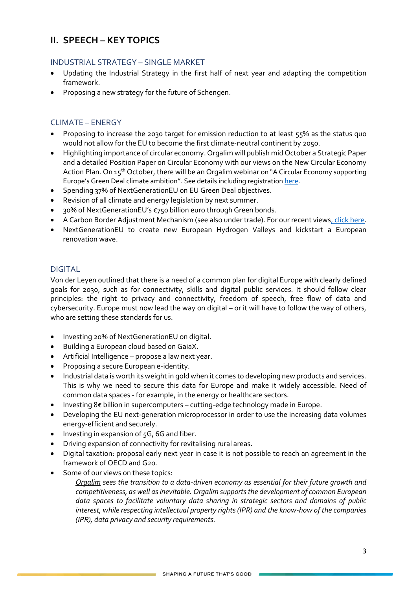## **II. SPEECH – KEY TOPICS**

### INDUSTRIAL STRATEGY – SINGLE MARKET

- Updating the Industrial Strategy in the first half of next year and adapting the competition framework.
- Proposing a new strategy for the future of Schengen.

### CLIMATE – ENERGY

- Proposing to increase the 2030 target for emission reduction to at least 55% as the status quo would not allow for the EU to become the first climate-neutral continent by 2050.
- Highlighting importance of circular economy. Orgalim will publish mid October a Strategic Paper and a detailed Position Paper on Circular Economy with our views on the New Circular Economy Action Plan. On 15<sup>th</sup> October, there will be an Orgalim webinar on "A Circular Economy supporting Europe's Green Deal climate ambition". See details including registratio[n here.](https://orgalim.eu/events/circular-economy-supporting-europes-green-deal-climate-ambition)
- Spending 37% of NextGenerationEU on EU Green Deal objectives.
- Revision of all climate and energy legislation by next summer.
- 30% of NextGenerationEU's €750 billion euro through Green bonds.
- A Carbon Border Adjustment Mechanism (see also under trade). For our recent view[s, click here.](https://www.orgalim.eu/position-papers/trade-orgalim-position-possible-carbon-border-adjustment-mechanism-cbam)
- NextGenerationEU to create new European Hydrogen Valleys and kickstart a European renovation wave.

#### DIGITAL

Von der Leyen outlined that there is a need of a common plan for digital Europe with clearly defined goals for 2030, such as for connectivity, skills and digital public services. It should follow clear principles: the right to privacy and connectivity, freedom of speech, free flow of data and cybersecurity. Europe must now lead the way on digital – or it will have to follow the way of others, who are setting these standards for us.

- Investing 20% of NextGenerationEU on digital.
- Building a European cloud based on GaiaX.
- Artificial Intelligence propose a law next year.
- Proposing a secure European e-identity.
- Industrial data is worth its weight in gold when it comes to developing new products and services. This is why we need to secure this data for Europe and make it widely accessible. Need of common data spaces - for example, in the energy or healthcare sectors.
- Investing 8€ billion in supercomputers cutting-edge technology made in Europe.
- Developing the EU next-generation microprocessor in order to use the increasing data volumes energy-efficient and securely.
- Investing in expansion of 5G, 6G and fiber.
- Driving expansion of connectivity for revitalising rural areas.
- Digital taxation: proposal early next year in case it is not possible to reach an agreement in the framework of OECD and G20.
- Some of our views on these topics:
	- *Orgalim sees the transition to a data-driven economy as essential for their future growth and competitiveness, as well as inevitable. Orgalim supportsthe development of common European data spaces to facilitate voluntary data sharing in strategic sectors and domains of public interest, while respecting intellectual property rights (IPR) and the know-how of the companies (IPR), data privacy and security requirements.*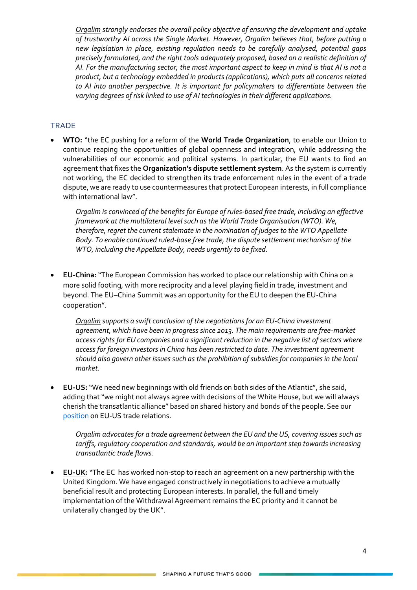*Orgalim strongly endorses the overall policy objective of ensuring the development and uptake of trustworthy AI across the Single Market. However, Orgalim believes that, before putting a new legislation in place, existing regulation needs to be carefully analysed, potential gaps precisely formulated, and the right tools adequately proposed, based on a realistic definition of AI. For the manufacturing sector, the most important aspect to keep in mind is that AI is not a product, but a technology embedded in products (applications), which puts all concerns related to AI into another perspective. It is important for policymakers to differentiate between the varying degrees of risk linked to use of AI technologies in their different applications.*

#### **TRADE**

• **WTO:** "the EC pushing for a reform of the **World Trade Organization**, to enable our Union to continue reaping the opportunities of global openness and integration, while addressing the vulnerabilities of our economic and political systems. In particular, the EU wants to find an agreement that fixes the **Organization's dispute settlement system**. As the system is currently not working, the EC decided to strengthen its trade enforcement rules in the event of a trade dispute, we are ready to use countermeasures that protect European interests, in full compliance with international law".

*[Orgalim](https://orgalim.eu/position-papers/eu-trade-policy-orgalim-priorities-next-european-union-legislative-term) is convinced of the benefits for Europe of rules-based free trade, including an effective framework at the multilateral level such as the World Trade Organisation (WTO). We, therefore, regret the current stalemate in the nomination of judges to the WTO Appellate Body. To enable continued ruled-base free trade, the dispute settlement mechanism of the WTO, including the Appellate Body, needs urgently to be fixed.* 

• **EU-China:**"The European Commission has worked to place our relationship with China on a more solid footing, with more reciprocity and a level playing field in trade, investment and beyond. The EU–China Summit was an opportunity for the EU to deepen the EU-China cooperation".

*[Orgalim](https://orgalim.eu/position-papers/trade-orgalim-comments-eu-china-trade-relations) supports a swift conclusion of the negotiations for an EU-China investment agreement, which have been in progress since 2013. The main requirements are free-market access rights for EU companies and a significant reduction in the negative list of sectors where access for foreign investors in China has been restricted to date. The investment agreement should also govern other issues such as the prohibition of subsidies for companies in the local market.*

• **EU-US:**"We need new beginnings with old friends on both sides of the Atlantic", she said, adding that "we might not always agree with decisions of the White House, but we will always cherish the transatlantic alliance" based on shared history and bonds of the people. See our [position](https://www.orgalim.eu/position-papers/trade-eu-us-negotiations-must-tackle-both-tariff-and-non-tariff-barriers) on EU-US trade relations.

*[Orgalim](https://orgalim.eu/position-papers/orgalime-priorities-upcoming-eu-us-trade-and-economic-negotiations) advocates for a trade agreement between the EU and the US, covering issues such as tariffs, regulatory cooperation and standards, would be an important step towards increasing transatlantic trade flows.*

• **[EU-UK:](https://orgalim.eu/position-papers/trade-orgalim-position-paper-future-eu-uk-trade-relations)**"The EC has worked non-stop to reach an agreement on a new partnership with the United Kingdom. We have engaged constructively in negotiations to achieve a mutually beneficial result and protecting European interests. In parallel, the full and timely implementation of the Withdrawal Agreement remains the EC priority and it cannot be unilaterally changed by the UK".